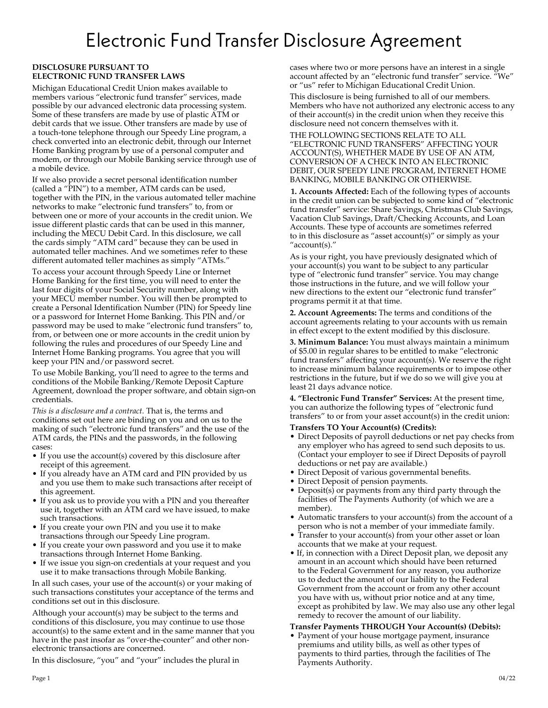# Electronic Fund Transfer Disclosure Agreement

# **DISCLOSURE PURSUANT TO ELECTRONIC FUND TRANSFER LAWS**

Michigan Educational Credit Union makes available to members various "electronic fund transfer" services, made possible by our advanced electronic data processing system. Some of these transfers are made by use of plastic ATM or debit cards that we issue. Other transfers are made by use of a touch-tone telephone through our Speedy Line program, a check converted into an electronic debit, through our Internet Home Banking program by use of a personal computer and modem, or through our Mobile Banking service through use of a mobile device.

If we also provide a secret personal identification number (called a "PIN") to a member, ATM cards can be used, together with the PIN, in the various automated teller machine networks to make "electronic fund transfers" to, from or between one or more of your accounts in the credit union. We issue different plastic cards that can be used in this manner, including the MECU Debit Card. In this disclosure, we call the cards simply "ATM card" because they can be used in automated teller machines. And we sometimes refer to these different automated teller machines as simply "ATMs."

To access your account through Speedy Line or Internet Home Banking for the first time, you will need to enter the last four digits of your Social Security number, along with your MECU member number. You will then be prompted to create a Personal Identification Number (PIN) for Speedy line or a password for Internet Home Banking. This PIN and/or password may be used to make "electronic fund transfers" to, from, or between one or more accounts in the credit union by following the rules and procedures of our Speedy Line and Internet Home Banking programs. You agree that you will keep your PIN and/or password secret.

To use Mobile Banking, you'll need to agree to the terms and conditions of the Mobile Banking/Remote Deposit Capture Agreement, download the proper software, and obtain sign-on credentials.

*This is a disclosure and a contract.* That is, the terms and conditions set out here are binding on you and on us to the making of such "electronic fund transfers" and the use of the ATM cards, the PINs and the passwords, in the following cases:

- If you use the account(s) covered by this disclosure after receipt of this agreement.
- If you already have an ATM card and PIN provided by us and you use them to make such transactions after receipt of this agreement.
- If you ask us to provide you with a PIN and you thereafter use it, together with an ATM card we have issued, to make such transactions.
- If you create your own PIN and you use it to make transactions through our Speedy Line program.
- If you create your own password and you use it to make transactions through Internet Home Banking.
- If we issue you sign-on credentials at your request and you use it to make transactions through Mobile Banking.

In all such cases, your use of the account(s) or your making of such transactions constitutes your acceptance of the terms and conditions set out in this disclosure.

Although your account(s) may be subject to the terms and conditions of this disclosure, you may continue to use those account(s) to the same extent and in the same manner that you have in the past insofar as "over-the-counter" and other nonelectronic transactions are concerned.

In this disclosure, "you" and "your" includes the plural in

cases where two or more persons have an interest in a single account affected by an "electronic fund transfer" service. "We" or "us" refer to Michigan Educational Credit Union.

This disclosure is being furnished to all of our members. Members who have not authorized any electronic access to any of their account(s) in the credit union when they receive this disclosure need not concern themselves with it.

THE FOLLOWING SECTIONS RELATE TO ALL "ELECTRONIC FUND TRANSFERS" AFFECTING YOUR ACCOUNT(S), WHETHER MADE BY USE OF AN ATM, CONVERSION OF A CHECK INTO AN ELECTRONIC DEBIT, OUR SPEEDY LINE PROGRAM, INTERNET HOME BANKING, MOBILE BANKING OR OTHERWISE.

**1. Accounts Affected:** Each of the following types of accounts in the credit union can be subjected to some kind of "electronic fund transfer" service: Share Savings, Christmas Club Savings, Vacation Club Savings, Draft/Checking Accounts, and Loan Accounts. These type of accounts are sometimes referred to in this disclosure as "asset account(s)" or simply as your "account(s)."

As is your right, you have previously designated which of your account(s) you want to be subject to any particular type of "electronic fund transfer" service. You may change those instructions in the future, and we will follow your new directions to the extent our "electronic fund transfer" programs permit it at that time.

**2. Account Agreements:** The terms and conditions of the account agreements relating to your accounts with us remain in effect except to the extent modified by this disclosure.

**3. Minimum Balance:** You must always maintain a minimum of \$5.00 in regular shares to be entitled to make "electronic fund transfers" affecting your account(s). We reserve the right to increase minimum balance requirements or to impose other restrictions in the future, but if we do so we will give you at least 21 days advance notice.

**4. "Electronic Fund Transfer" Services:** At the present time, you can authorize the following types of "electronic fund transfers" to or from your asset account(s) in the credit union:

# **Transfers TO Your Account(s) (Credits):**

- Direct Deposits of payroll deductions or net pay checks from any employer who has agreed to send such deposits to us. (Contact your employer to see if Direct Deposits of payroll deductions or net pay are available.)
- Direct Deposit of various governmental benefits.
- Direct Deposit of pension payments.
- Deposit(s) or payments from any third party through the facilities of The Payments Authority (of which we are a member).
- Automatic transfers to your account(s) from the account of a person who is not a member of your immediate family.
- Transfer to your account(s) from your other asset or loan accounts that we make at your request.
- If, in connection with a Direct Deposit plan, we deposit any amount in an account which should have been returned to the Federal Government for any reason, you authorize us to deduct the amount of our liability to the Federal Government from the account or from any other account you have with us, without prior notice and at any time, except as prohibited by law. We may also use any other legal remedy to recover the amount of our liability.

# **Transfer Payments THROUGH Your Account(s) (Debits):**

• Payment of your house mortgage payment, insurance premiums and utility bills, as well as other types of payments to third parties, through the facilities of The Payments Authority.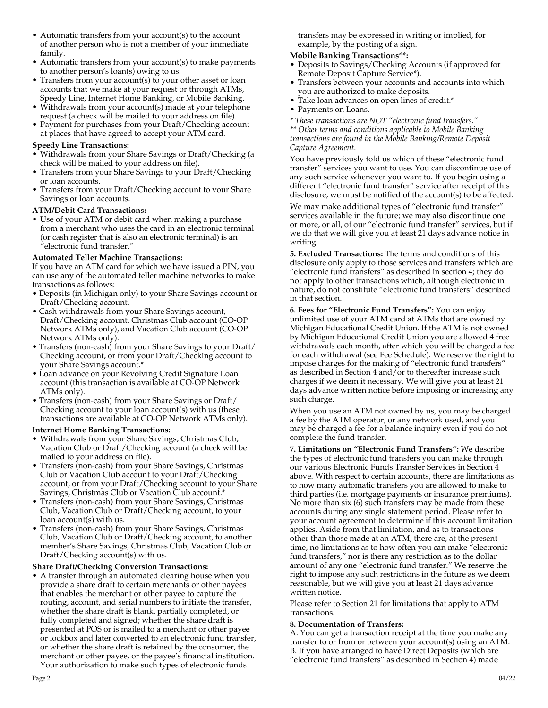- Automatic transfers from your account(s) to the account of another person who is not a member of your immediate family.
- Automatic transfers from your account(s) to make payments to another person's loan(s) owing to us.
- Transfers from your account(s) to your other asset or loan accounts that we make at your request or through ATMs, Speedy Line, Internet Home Banking, or Mobile Banking.
- Withdrawals from your account(s) made at your telephone request (a check will be mailed to your address on file).
- Payment for purchases from your Draft/Checking account at places that have agreed to accept your ATM card.

## **Speedy Line Transactions:**

- Withdrawals from your Share Savings or Draft/Checking (a check will be mailed to your address on file).
- Transfers from your Share Savings to your Draft/Checking or loan accounts.
- Transfers from your Draft/Checking account to your Share Savings or loan accounts.

# **ATM/Debit Card Transactions:**

• Use of your ATM or debit card when making a purchase from a merchant who uses the card in an electronic terminal (or cash register that is also an electronic terminal) is an "electronic fund transfer."

## **Automated Teller Machine Transactions:**

If you have an ATM card for which we have issued a PIN, you can use any of the automated teller machine networks to make transactions as follows:

- Deposits (in Michigan only) to your Share Savings account or Draft/Checking account.
- Cash withdrawals from your Share Savings account, Draft/Checking account, Christmas Club account (CO-OP Network ATMs only), and Vacation Club account (CO-OP Network ATMs only).
- Transfers (non-cash) from your Share Savings to your Draft/ Checking account, or from your Draft/Checking account to your Share Savings account.\*
- Loan advance on your Revolving Credit Signature Loan account (this transaction is available at CO-OP Network ATMs only).
- Transfers (non-cash) from your Share Savings or Draft/ Checking account to your loan account(s) with us (these transactions are available at CO-OP Network ATMs only).

#### **Internet Home Banking Transactions:**

- Withdrawals from your Share Savings, Christmas Club, Vacation Club or Draft/Checking account (a check will be mailed to your address on file).
- Transfers (non-cash) from your Share Savings, Christmas Club or Vacation Club account to your Draft/Checking account, or from your Draft/Checking account to your Share Savings, Christmas Club or Vacation Club account.\*
- Transfers (non-cash) from your Share Savings, Christmas Club, Vacation Club or Draft/Checking account, to your loan account(s) with us.
- Transfers (non-cash) from your Share Savings, Christmas Club, Vacation Club or Draft/Checking account, to another member's Share Savings, Christmas Club, Vacation Club or Draft/Checking account(s) with us.

# **Share Draft/Checking Conversion Transactions:**

• A transfer through an automated clearing house when you provide a share draft to certain merchants or other payees that enables the merchant or other payee to capture the routing, account, and serial numbers to initiate the transfer, whether the share draft is blank, partially completed, or fully completed and signed; whether the share draft is presented at POS or is mailed to a merchant or other payee or lockbox and later converted to an electronic fund transfer, or whether the share draft is retained by the consumer, the merchant or other payee, or the payee's financial institution. Your authorization to make such types of electronic funds

transfers may be expressed in writing or implied, for example, by the posting of a sign.

## **Mobile Banking Transactions\*\*:**

- Deposits to Savings/Checking Accounts (if approved for Remote Deposit Capture Service\*).
- Transfers between your accounts and accounts into which you are authorized to make deposits.
- Take loan advances on open lines of credit.\*
- Payments on Loans.

*\* These transactions are NOT "electronic fund transfers." \*\* Other terms and conditions applicable to Mobile Banking transactions are found in the Mobile Banking/Remote Deposit Capture Agreement.*

You have previously told us which of these "electronic fund transfer" services you want to use. You can discontinue use of any such service whenever you want to. If you begin using a different "electronic fund transfer" service after receipt of this disclosure, we must be notified of the account(s) to be affected.

We may make additional types of "electronic fund transfer" services available in the future; we may also discontinue one or more, or all, of our "electronic fund transfer" services, but if we do that we will give you at least 21 days advance notice in writing.

**5. Excluded Transactions:** The terms and conditions of this disclosure only apply to those services and transfers which are "electronic fund transfers" as described in section 4; they do not apply to other transactions which, although electronic in nature, do not constitute "electronic fund transfers" described in that section.

**6. Fees for "Electronic Fund Transfers":** You can enjoy unlimited use of your ATM card at ATMs that are owned by Michigan Educational Credit Union. If the ATM is not owned by Michigan Educational Credit Union you are allowed 4 free withdrawals each month, after which you will be charged a fee for each withdrawal (see Fee Schedule). We reserve the right to impose charges for the making of "electronic fund transfers" as described in Section 4 and/or to thereafter increase such charges if we deem it necessary. We will give you at least 21 days advance written notice before imposing or increasing any such charge.

When you use an ATM not owned by us, you may be charged a fee by the ATM operator, or any network used, and you may be charged a fee for a balance inquiry even if you do not complete the fund transfer.

**7. Limitations on "Electronic Fund Transfers":** We describe the types of electronic fund transfers you can make through our various Electronic Funds Transfer Services in Section 4 above. With respect to certain accounts, there are limitations as to how many automatic transfers you are allowed to make to third parties (i.e. mortgage payments or insurance premiums). No more than six (6) such transfers may be made from these accounts during any single statement period. Please refer to your account agreement to determine if this account limitation applies. Aside from that limitation, and as to transactions other than those made at an ATM, there are, at the present time, no limitations as to how often you can make "electronic fund transfers," nor is there any restriction as to the dollar amount of any one "electronic fund transfer." We reserve the right to impose any such restrictions in the future as we deem reasonable, but we will give you at least 21 days advance written notice.

Please refer to Section 21 for limitations that apply to ATM transactions.

# **8. Documentation of Transfers:**

A. You can get a transaction receipt at the time you make any transfer to or from or between your account(s) using an ATM. B. If you have arranged to have Direct Deposits (which are "electronic fund transfers" as described in Section 4) made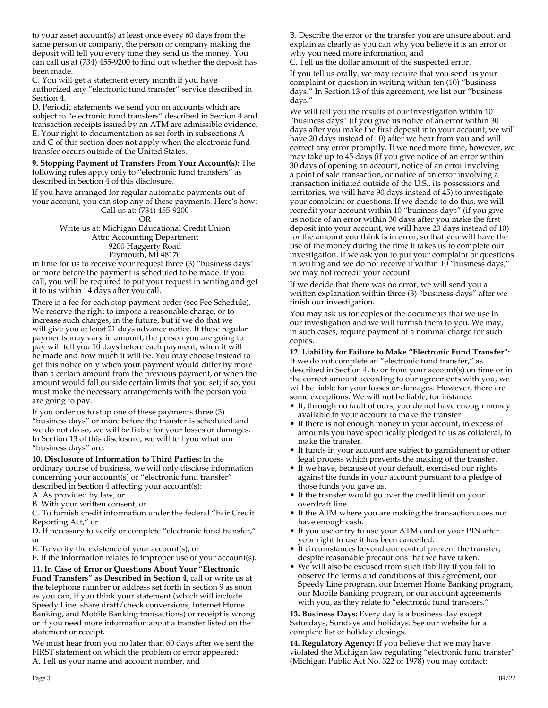to your asset account(s) at least once every 60 days from the same person or company, the person or company making the deposit will tell you every time they send us the money. You can call us at (734) 455-9200 to find out whether the deposit has been made.

C. You will get a statement every month if you have authorized any "electronic fund transfer" service described in Section 4.

D. Periodic statements we send you on accounts which are subject to "electronic fund transfers" described in Section 4 and transaction receipts issued by an ATM are admissible evidence. E. Your right to documentation as set forth in subsections A and C of this section does not apply when the electronic fund transfer occurs outside of the United States.

**9. Stopping Payment of Transfers From Your Account(s):** The following rules apply only to "electronic fund transfers" as described in Section 4 of this disclosure.

If you have arranged for regular automatic payments out of your account, you can stop any of these payments. Here's how: Call us at: (734) 455-9200

OR Write us at: Michigan Educational Credit Union Attn: Accounting Department 9200 Haggerty Road Plymouth, MI 48170

in time for us to receive your request three (3) "business days" or more before the payment is scheduled to be made. If you call, you will be required to put your request in writing and get it to us within 14 days after you call.

There is a fee for each stop payment order (see Fee Schedule). We reserve the right to impose a reasonable charge, or to increase such charges, in the future, but if we do that we will give you at least 21 days advance notice. If these regular payments may vary in amount, the person you are going to pay will tell you 10 days before each payment, when it will be made and how much it will be. You may choose instead to get this notice only when your payment would differ by more than a certain amount from the previous payment, or when the amount would fall outside certain limits that you set; if so, you must make the necessary arrangements with the person you are going to pay.

If you order us to stop one of these payments three (3) "business days" or more before the transfer is scheduled and we do not do so, we will be liable for your losses or damages. In Section 13 of this disclosure, we will tell you what our "business days" are.

**10. Disclosure of Information to Third Parties:** In the ordinary course of business, we will only disclose information concerning your account(s) or "electronic fund transfer" described in Section 4 affecting your account(s):

A. As provided by law, or

B. With your written consent, or

C. To furnish credit information under the federal "Fair Credit Reporting Act," or

D. If necessary to verify or complete "electronic fund transfer," or

E. To verify the existence of your account(s), or

F. If the information relates to improper use of your account(s).

**11. In Case of Error or Questions About Your "Electronic Fund Transfers" as Described in Section 4,** call or write us at the telephone number or address set forth in section 9 as soon as you can, if you think your statement (which will include Speedy Line, share draft/check conversions, Internet Home Banking, and Mobile Banking transactions) or receipt is wrong or if you need more information about a transfer listed on the statement or receipt.

We must hear from you no later than 60 days after we sent the FIRST statement on which the problem or error appeared: A. Tell us your name and account number, and

B. Describe the error or the transfer you are unsure about, and explain as clearly as you can why you believe it is an error or why you need more information, and

C. Tell us the dollar amount of the suspected error.

If you tell us orally, we may require that you send us your complaint or question in writing within ten (10) "business days." In Section 13 of this agreement, we list our "business days."

We will tell you the results of our investigation within 10 "business days" (if you give us notice of an error within 30 days after you make the first deposit into your account, we will have 20 days instead of 10) after we hear from you and will correct any error promptly. If we need more time, however, we may take up to 45 days (if you give notice of an error within 30 days of opening an account, notice of an error involving a point of sale transaction, or notice of an error involving a transaction initiated outside of the U.S., its possessions and territories, we will have 90 days instead of 45) to investigate your complaint or questions. If we decide to do this, we will recredit your account within 10 "business days" (if you give us notice of an error within 30 days after you make the first deposit into your account, we will have 20 days instead of 10) for the amount you think is in error, so that you will have the use of the money during the time it takes us to complete our investigation. If we ask you to put your complaint or questions in writing and we do not receive it within 10 "business days," we may not recredit your account.

If we decide that there was no error, we will send you a written explanation within three (3) "business days" after we finish our investigation.

You may ask us for copies of the documents that we use in our investigation and we will furnish them to you. We may, in such cases, require payment of a nominal charge for such copies.

**12. Liability for Failure to Make "Electronic Fund Transfer":** If we do not complete an "electronic fund transfer," as described in Section 4, to or from your account(s) on time or in the correct amount according to our agreements with you, we will be liable for your losses or damages. However, there are some exceptions. We will not be liable, for instance:

- If, through no fault of ours, you do not have enough money available in your account to make the transfer.
- If there is not enough money in your account, in excess of amounts you have specifically pledged to us as collateral, to make the transfer.
- If funds in your account are subject to garnishment or other legal process which prevents the making of the transfer.
- If we have, because of your default, exercised our rights against the funds in your account pursuant to a pledge of those funds you gave us.
- If the transfer would go over the credit limit on your overdraft line.
- If the ATM where you are making the transaction does not have enough cash.
- If you use or try to use your ATM card or your PIN after your right to use it has been cancelled.
- If circumstances beyond our control prevent the transfer, despite reasonable precautions that we have taken.
- We will also be excused from such liability if you fail to observe the terms and conditions of this agreement, our Speedy Line program, our Internet Home Banking program, our Mobile Banking program, or our account agreements with you, as they relate to "electronic fund transfers."

**13. Business Days:** Every day is a business day except Saturdays, Sundays and holidays. See our website for a complete list of holiday closings.

**14. Regulatory Agency:** If you believe that we may have violated the Michigan law regulating "electronic fund transfer" (Michigan Public Act No. 322 of 1978) you may contact: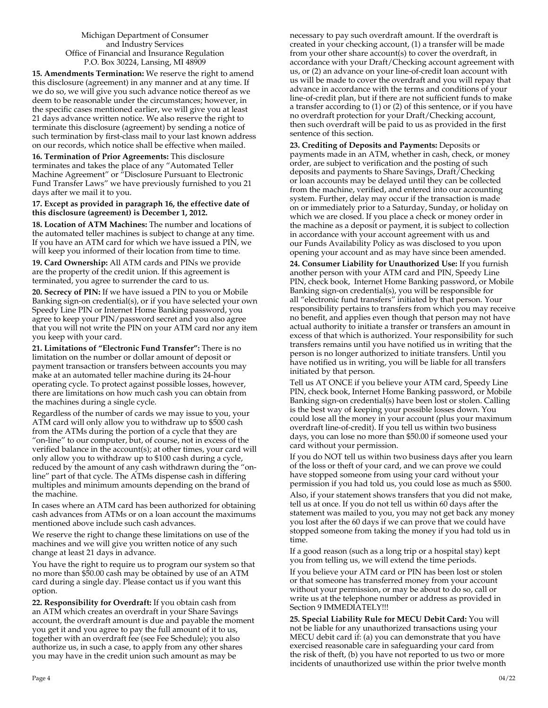#### Michigan Department of Consumer and Industry Services Office of Financial and Insurance Regulation P.O. Box 30224, Lansing, MI 48909

**15. Amendments Termination:** We reserve the right to amend this disclosure (agreement) in any manner and at any time. If we do so, we will give you such advance notice thereof as we deem to be reasonable under the circumstances; however, in the specific cases mentioned earlier, we will give you at least 21 days advance written notice. We also reserve the right to terminate this disclosure (agreement) by sending a notice of such termination by first-class mail to your last known address on our records, which notice shall be effective when mailed.

**16. Termination of Prior Agreements:** This disclosure terminates and takes the place of any "Automated Teller Machine Agreement" or "Disclosure Pursuant to Electronic Fund Transfer Laws" we have previously furnished to you 21 days after we mail it to you.

#### **17. Except as provided in paragraph 16, the effective date of this disclosure (agreement) is December 1, 2012.**

**18. Location of ATM Machines:** The number and locations of the automated teller machines is subject to change at any time. If you have an ATM card for which we have issued a PIN, we will keep you informed of their location from time to time.

**19. Card Ownership:** All ATM cards and PINs we provide are the property of the credit union. If this agreement is terminated, you agree to surrender the card to us.

**20. Secrecy of PIN:** If we have issued a PIN to you or Mobile Banking sign-on credential(s), or if you have selected your own Speedy Line PIN or Internet Home Banking password, you agree to keep your PIN/password secret and you also agree that you will not write the PIN on your ATM card nor any item you keep with your card.

**21. Limitations of "Electronic Fund Transfer":** There is no limitation on the number or dollar amount of deposit or payment transaction or transfers between accounts you may make at an automated teller machine during its 24-hour operating cycle. To protect against possible losses, however, there are limitations on how much cash you can obtain from the machines during a single cycle.

Regardless of the number of cards we may issue to you, your ATM card will only allow you to withdraw up to \$500 cash from the ATMs during the portion of a cycle that they are "on-line" to our computer, but, of course, not in excess of the verified balance in the account(s); at other times, your card will only allow you to withdraw up to \$100 cash during a cycle, reduced by the amount of any cash withdrawn during the "online" part of that cycle. The ATMs dispense cash in differing multiples and minimum amounts depending on the brand of the machine.

In cases where an ATM card has been authorized for obtaining cash advances from ATMs or on a loan account the maximums mentioned above include such cash advances.

We reserve the right to change these limitations on use of the machines and we will give you written notice of any such change at least 21 days in advance.

You have the right to require us to program our system so that no more than \$50.00 cash may be obtained by use of an ATM card during a single day. Please contact us if you want this option.

**22. Responsibility for Overdraft:** If you obtain cash from an ATM which creates an overdraft in your Share Savings account, the overdraft amount is due and payable the moment you get it and you agree to pay the full amount of it to us, together with an overdraft fee (see Fee Schedule); you also authorize us, in such a case, to apply from any other shares you may have in the credit union such amount as may be

necessary to pay such overdraft amount. If the overdraft is created in your checking account, (1) a transfer will be made from your other share account(s) to cover the overdraft, in accordance with your Draft/Checking account agreement with us, or (2) an advance on your line-of-credit loan account with us will be made to cover the overdraft and you will repay that advance in accordance with the terms and conditions of your line-of-credit plan, but if there are not sufficient funds to make a transfer according to (1) or (2) of this sentence, or if you have no overdraft protection for your Draft/Checking account, then such overdraft will be paid to us as provided in the first sentence of this section.

**23. Crediting of Deposits and Payments:** Deposits or payments made in an ATM, whether in cash, check, or money order, are subject to verification and the posting of such deposits and payments to Share Savings, Draft/Checking or loan accounts may be delayed until they can be collected from the machine, verified, and entered into our accounting system. Further, delay may occur if the transaction is made on or immediately prior to a Saturday, Sunday, or holiday on which we are closed. If you place a check or money order in the machine as a deposit or payment, it is subject to collection in accordance with your account agreement with us and our Funds Availability Policy as was disclosed to you upon opening your account and as may have since been amended.

**24. Consumer Liability for Unauthorized Use:** If you furnish another person with your ATM card and PIN, Speedy Line PIN, check book, Internet Home Banking password, or Mobile Banking sign-on credential(s), you will be responsible for all "electronic fund transfers" initiated by that person. Your responsibility pertains to transfers from which you may receive no benefit, and applies even though that person may not have actual authority to initiate a transfer or transfers an amount in excess of that which is authorized. Your responsibility for such transfers remains until you have notified us in writing that the person is no longer authorized to initiate transfers. Until you have notified us in writing, you will be liable for all transfers initiated by that person.

Tell us AT ONCE if you believe your ATM card, Speedy Line PIN, check book, Internet Home Banking password, or Mobile Banking sign-on credential(s) have been lost or stolen. Calling is the best way of keeping your possible losses down. You could lose all the money in your account (plus your maximum overdraft line-of-credit). If you tell us within two business days, you can lose no more than \$50.00 if someone used your card without your permission.

If you do NOT tell us within two business days after you learn of the loss or theft of your card, and we can prove we could have stopped someone from using your card without your permission if you had told us, you could lose as much as \$500.

Also, if your statement shows transfers that you did not make, tell us at once. If you do not tell us within 60 days after the statement was mailed to you, you may not get back any money you lost after the 60 days if we can prove that we could have stopped someone from taking the money if you had told us in time.

If a good reason (such as a long trip or a hospital stay) kept you from telling us, we will extend the time periods.

If you believe your ATM card or PIN has been lost or stolen or that someone has transferred money from your account without your permission, or may be about to do so, call or write us at the telephone number or address as provided in Section 9 IMMEDIATELY!!!

**25. Special Liability Rule for MECU Debit Card:** You will not be liable for any unauthorized transactions using your MECU debit card if: (a) you can demonstrate that you have exercised reasonable care in safeguarding your card from the risk of theft, (b) you have not reported to us two or more incidents of unauthorized use within the prior twelve month